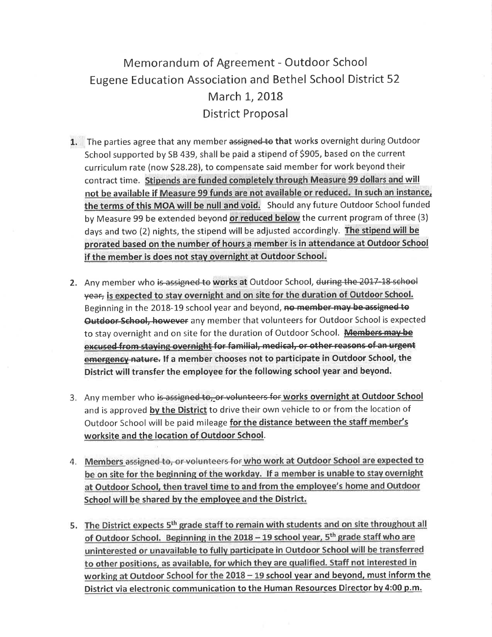## Memorandum of Agreement - Outdoor School Eugene Education Association and Bethel School District 52 March 1, 2018 District Proposal

- 1. The parties agree that any member assigned to that works overnight during Outdoor School supported by SB 439, shall be paid a stipend of \$905, based on the current curriculum rate (now 523.28), to compensate said member for work beyond their contract time. Stipends are funded completely through Measure 99 dollars and will not be available if Measure 99 funds are not available or reduced. In such an instance, the terms of this MOA will be null and void. Should any future Outdoor School funded by Measure 99 be extended beyond or reduced below the current program of three (3) days and two (2) nights, the stipend will be adjusted accordingly. The stipend will be prorated based on the number of hours a member is in attendance at Outdoor School if the member is does not stay overnight at Outdoor School.
- 2. Any member who is assigned to works at Outdoor School, during the 2017-18 school year, is expected to stay overnight and on site for the duration of Outdoor School. Beginning in the 2018-19 school year and beyond, no member may be assigned to Outdoor-School, however any member that volunteers for Outdoor School is expected to stay overnight and on site for the duration of Outdoor School. Members may be excused from staying overnight for familial, medical, or other reasons of an urgent emergency nature. If a member chooses not to participate in Outdoor School, the District will transfer the employee for the following school year and beyond.
- 3. Any member who is assigned to, or volunteers for works overnight at Outdoor School and is approved by the District to drive their own vehicle to or from the location of Outdoor School will be paid mileage for the distance between the staff member's worksite and the location of Outdoor School.
- 4. Members assigned to, or volunteers for who work at Outdoor School are expected to be on site for the beginning of the workday. If a member is unable to stay overnight at Outdoor School, then travel time to and from the employee's home and Outdoor School will be shared by the employee and the District.
- 5. The District expects 5<sup>th</sup> grade staff to remain with students and on site throughout all of Outdoor School. Beginning in the 2018 - 19 school year, 5<sup>th</sup> grade staff who are uninterested or unavailable to fully participate in Outdoor School will be transferred to other positions, as available, for which they are qualified. Staff not interested in working at Outdoor School for the  $2018 - 19$  school year and beyond, must inform the District via electronic communication to the Human Resources Director by 4:00 p.m.